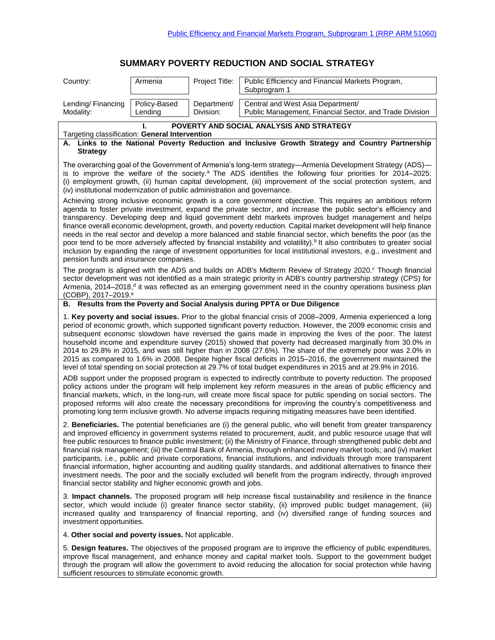# **SUMMARY POVERTY REDUCTION AND SOCIAL STRATEGY**

| Country:                                                                                                                                                                                                                                                                                                                                                                                                                                                                                                                                                                                                                                                                                                                                                                                                                                                                                                                         | Armenia                 | Project Title:           | Public Efficiency and Financial Markets Program,<br>Subprogram 1                             |  |  |  |
|----------------------------------------------------------------------------------------------------------------------------------------------------------------------------------------------------------------------------------------------------------------------------------------------------------------------------------------------------------------------------------------------------------------------------------------------------------------------------------------------------------------------------------------------------------------------------------------------------------------------------------------------------------------------------------------------------------------------------------------------------------------------------------------------------------------------------------------------------------------------------------------------------------------------------------|-------------------------|--------------------------|----------------------------------------------------------------------------------------------|--|--|--|
| Lending/Financing<br>Modality:                                                                                                                                                                                                                                                                                                                                                                                                                                                                                                                                                                                                                                                                                                                                                                                                                                                                                                   | Policy-Based<br>Lending | Department/<br>Division: | Central and West Asia Department/<br>Public Management, Financial Sector, and Trade Division |  |  |  |
| POVERTY AND SOCIAL ANALYSIS AND STRATEGY                                                                                                                                                                                                                                                                                                                                                                                                                                                                                                                                                                                                                                                                                                                                                                                                                                                                                         |                         |                          |                                                                                              |  |  |  |
| Targeting classification: General Intervention                                                                                                                                                                                                                                                                                                                                                                                                                                                                                                                                                                                                                                                                                                                                                                                                                                                                                   |                         |                          |                                                                                              |  |  |  |
| A. Links to the National Poverty Reduction and Inclusive Growth Strategy and Country Partnership<br><b>Strategy</b>                                                                                                                                                                                                                                                                                                                                                                                                                                                                                                                                                                                                                                                                                                                                                                                                              |                         |                          |                                                                                              |  |  |  |
| The overarching goal of the Government of Armenia's long-term strategy—Armenia Development Strategy (ADS)—<br>is to improve the welfare of the society. <sup>a</sup> The ADS identifies the following four priorities for 2014–2025:<br>(i) employment growth, (ii) human capital development, (iii) improvement of the social protection system, and<br>(iv) institutional modernization of public administration and governance.                                                                                                                                                                                                                                                                                                                                                                                                                                                                                               |                         |                          |                                                                                              |  |  |  |
| Achieving strong inclusive economic growth is a core government objective. This requires an ambitious reform<br>agenda to foster private investment, expand the private sector, and increase the public sector's efficiency and<br>transparency. Developing deep and liquid government debt markets improves budget management and helps<br>finance overall economic development, growth, and poverty reduction. Capital market development will help finance<br>needs in the real sector and develop a more balanced and stable financial sector, which benefits the poor (as the<br>poor tend to be more adversely affected by financial instability and volatility). <sup>b</sup> It also contributes to greater social<br>inclusion by expanding the range of investment opportunities for local institutional investors, e.g., investment and<br>pension funds and insurance companies.                                     |                         |                          |                                                                                              |  |  |  |
| The program is aligned with the ADS and builds on ADB's Midterm Review of Strategy 2020. Though financial<br>sector development was not identified as a main strategic priority in ADB's country partnership strategy (CPS) for<br>Armenia, 2014–2018, <sup>d</sup> it was reflected as an emerging government need in the country operations business plan<br>$(COBP)$ , 2017-2019. <sup>e</sup>                                                                                                                                                                                                                                                                                                                                                                                                                                                                                                                                |                         |                          |                                                                                              |  |  |  |
| B. Results from the Poverty and Social Analysis during PPTA or Due Diligence                                                                                                                                                                                                                                                                                                                                                                                                                                                                                                                                                                                                                                                                                                                                                                                                                                                     |                         |                          |                                                                                              |  |  |  |
| 1. Key poverty and social issues. Prior to the global financial crisis of 2008–2009, Armenia experienced a long<br>period of economic growth, which supported significant poverty reduction. However, the 2009 economic crisis and<br>subsequent economic slowdown have reversed the gains made in improving the lives of the poor. The latest<br>household income and expenditure survey (2015) showed that poverty had decreased marginally from 30.0% in<br>2014 to 29.8% in 2015, and was still higher than in 2008 (27.6%). The share of the extremely poor was 2.0% in<br>2015 as compared to 1.6% in 2008. Despite higher fiscal deficits in 2015–2016, the government maintained the<br>level of total spending on social protection at 29.7% of total budget expenditures in 2015 and at 29.9% in 2016.                                                                                                                 |                         |                          |                                                                                              |  |  |  |
| ADB support under the proposed program is expected to indirectly contribute to poverty reduction. The proposed<br>policy actions under the program will help implement key reform measures in the areas of public efficiency and<br>financial markets, which, in the long-run, will create more fiscal space for public spending on social sectors. The<br>proposed reforms will also create the necessary preconditions for improving the country's competitiveness and<br>promoting long term inclusive growth. No adverse impacts requiring mitigating measures have been identified.                                                                                                                                                                                                                                                                                                                                         |                         |                          |                                                                                              |  |  |  |
| 2. Beneficiaries. The potential beneficiaries are (i) the general public, who will benefit from greater transparency<br>and improved efficiency in government systems related to procurement, audit, and public resource usage that will<br>free public resources to finance public investment; (ii) the Ministry of Finance, through strengthened public debt and<br>financial risk management; (iii) the Central Bank of Armenia, through enhanced money market tools; and (iv) market<br>participants, i.e., public and private corporations, financial institutions, and individuals through more transparent<br>financial information, higher accounting and auditing quality standards, and additional alternatives to finance their<br>investment needs. The poor and the socially excluded will benefit from the program indirectly, through improved<br>financial sector stability and higher economic growth and jobs. |                         |                          |                                                                                              |  |  |  |
| 3. Impact channels. The proposed program will help increase fiscal sustainability and resilience in the finance<br>sector, which would include (i) greater finance sector stability, (ii) improved public budget management, (iii)<br>increased quality and transparency of financial reporting, and (iv) diversified range of funding sources and<br>investment opportunities.                                                                                                                                                                                                                                                                                                                                                                                                                                                                                                                                                  |                         |                          |                                                                                              |  |  |  |
| 4. Other social and poverty issues. Not applicable.                                                                                                                                                                                                                                                                                                                                                                                                                                                                                                                                                                                                                                                                                                                                                                                                                                                                              |                         |                          |                                                                                              |  |  |  |
| 5. Design features. The objectives of the proposed program are to improve the efficiency of public expenditures,<br>improve fiscal management, and enhance money and capital market tools. Support to the government budget<br>through the program will allow the government to avoid reducing the allocation for social protection while having                                                                                                                                                                                                                                                                                                                                                                                                                                                                                                                                                                                 |                         |                          |                                                                                              |  |  |  |

sufficient resources to stimulate economic growth.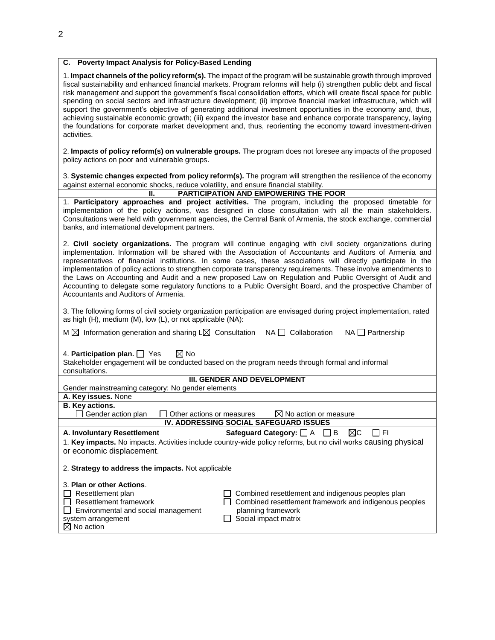### **C. Poverty Impact Analysis for Policy-Based Lending**

| 1. Impact channels of the policy reform(s). The impact of the program will be sustainable growth through improved     |
|-----------------------------------------------------------------------------------------------------------------------|
| fiscal sustainability and enhanced financial markets. Program reforms will help (i) strengthen public debt and fiscal |
| risk management and support the government's fiscal consolidation efforts, which will create fiscal space for public  |
| spending on social sectors and infrastructure development; (ii) improve financial market infrastructure, which will   |
| support the government's objective of generating additional investment opportunities in the economy and, thus,        |
| achieving sustainable economic growth; (iii) expand the investor base and enhance corporate transparency, laying      |
| the foundations for corporate market development and, thus, reorienting the economy toward investment-driven          |
| activities.                                                                                                           |

2. **Impacts of policy reform(s) on vulnerable groups.** The program does not foresee any impacts of the proposed policy actions on poor and vulnerable groups.

3. **Systemic changes expected from policy reform(s).** The program will strengthen the resilience of the economy against external economic shocks, reduce volatility, and ensure financial stability.

#### **II. PARTICIPATION AND EMPOWERING THE POOR**

1. **Participatory approaches and project activities.** The program, including the proposed timetable for implementation of the policy actions, was designed in close consultation with all the main stakeholders. Consultations were held with government agencies, the Central Bank of Armenia, the stock exchange, commercial banks, and international development partners.

2. **Civil society organizations.** The program will continue engaging with civil society organizations during implementation. Information will be shared with the Association of Accountants and Auditors of Armenia and representatives of financial institutions. In some cases, these associations will directly participate in the implementation of policy actions to strengthen corporate transparency requirements. These involve amendments to the Laws on Accounting and Audit and a new proposed Law on Regulation and Public Oversight of Audit and Accounting to delegate some regulatory functions to a Public Oversight Board, and the prospective Chamber of Accountants and Auditors of Armenia.

3. The following forms of civil society organization participation are envisaged during project implementation, rated as high (H), medium (M), low (L), or not applicable (NA):

 $M \boxtimes$  Information generation and sharing L $\boxtimes$  Consultation NA  $\Box$  Collaboration NA  $\Box$  Partnership

4. **Participation plan.**  $\Box$  Yes  $\Box$  No

Stakeholder engagement will be conducted based on the program needs through formal and informal consultations.

### **III. GENDER AND DEVELOPMENT**

Gender mainstreaming category: No gender elements

## **A. Key issues.** None

**B. Key actions.**<br> **B.** Gender action plan  $\Box$  Other actions or measures  $\boxtimes$  No action or measure

### **IV. ADDRESSING SOCIAL SAFEGUARD ISSUES**

**A. Involuntary Resettlement Safeguard Category:**  $\Box$  A  $\Box$  B  $\Box$   $\Box$  FI 1. **Key impacts.** No impacts. Activities include country-wide policy reforms, but no civil works causing physical or economic displacement.

2. **Strategy to address the impacts.** Not applicable

|  | 3. Plan or other Actions. |
|--|---------------------------|
|  |                           |

| $\Box$ Resettlement plan      |
|-------------------------------|
| $\Box$ Resettlement framework |
| ___                           |

- Environmental and social management
- system arrangement
- $\boxtimes$  No action

 $\Box$  Combined resettlement and indigenous peoples plan  $\Box$  Combined resettlement framework and indigenous peoples planning framework  $\Box$  Social impact matrix